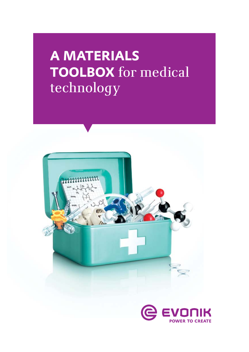# **A materials TOOLBOX** for medical technology



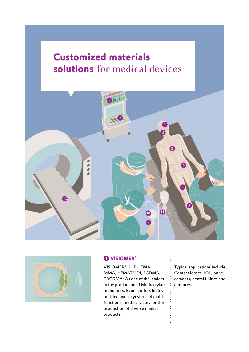## **Customized materials Customized materials solutions** for medical devices **solutions** for medical devices





#### $\bullet$  **VISIOMER®**

VISIOMER® UHP HEMA, MMA, HEMATMDI, EGDMA, TRGDMA: As one of the leaders in the production of Methacrylate monomers, Evonik offers highly purified hydroxyester and multifunctional methacrylates for the production of diverse medical products.

Typical applications include: Contact lenses, IOL, bone cements, dental fillings and dentures.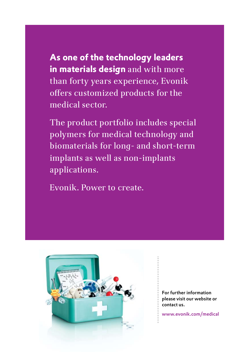**As one of the technology leaders in materials design** and with more than forty years experience, Evonik offers customized products for the medical sector.

The product portfolio includes special polymers for medical technology and biomaterials for long- and short-term implants as well as non-implants applications.

Evonik. Power to create.



For further information please visit our website or contact us.

www.evonik.com/medical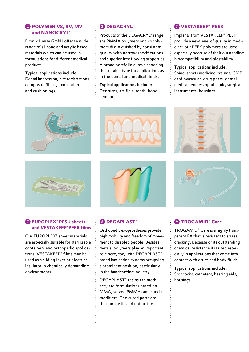#### **2** POLYMER VS, RV, MV **and NANOCRYL®**

Evonik Hanse GmbH offers a wide range of silicone and acrylic based materials which can be used in formulations for different medical products.

Typical applications include: Dental impression, bite registrations, composite fillers, exoprothetics and cushionings.

#### 2 **DEGACRYL®**

Products of the DEGACRYL® range are PMMA polymers and copolymers distin guished by consistent quality with narrow specifications and superior free flowing properties. A broad portfolio allows choosing the suitable type for applications as in the dental and medical fields.

Typical applications include: Dentures, artificial teeth, bone cement.

#### 3 **VESTAKEEP® PEEK**

Implants from VESTAKEEP® PEEK provide a new level of quality in medicine: our PEEK polymers are used especially because of their outstanding biocompatibility and biostability.

#### Typical applications include:

Spine, sports medicine, trauma, CMF, cardiovascular, drug ports, dental, medical textiles, ophthalmic, surgical instruments, housings.









#### 7 **EUROPLEX® PPSU sheets and VESTAKEEP® PEEK films**

Our EUROPLEX® sheet materials are especially suitable for sterilizable containers and orthopedic applications. VESTAKEEP® films may be used as a sliding layer or electrical insulator in chemically demanding environments.

#### 8 **DEGAPLAST®**

Orthopedic exoprostheses provide high mobility and freedom of movement to disabled people. Besides metals, polymers play an important role here, too, with DEGAPLAST® based lamination systems occupying a prominent position, particularly in the handcrafting industry.

DEGAPLAST® resins are methacrylate formulations based on MMA, solved PMMA, and special modifiers. The cured parts are thermoplastic and not brittle.



#### 9 **TROGAMID® Care**

TROGAMID® Care is a highly transparent PA that is resistant to stress cracking. Because of its outstanding chemical resistance it is used especially in applications that come into contact with drugs and body fluids.

Typical applications include: Stopcocks, catheters, hearing aids, housings.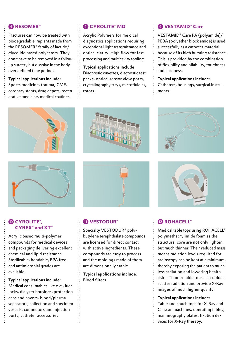#### 4 **RESOMER®**

Fractures can now be treated with biodegradable implants made from the RESOMER® family of lactide/ glycolide based polyesters. They don't have to be removed in a followup surgery but dissolve in the body over defined time periods.

#### Typical applications include: Sports medicine, trauma, CMF, coronary stents, drug depots, regenerative medicine, medical coatings.

#### **6 CYROLITE® MD**

Acrylic Polymers for me dical diagnostics applications requiring exceptional light transmittance and optical clarity. High flow for fast processing and multicavity tooling.

Typical applications include: Diagnostic cuvettes, diagnostic test packs, optical sensor view ports, crystallography trays, microfluidics, rotors.

#### 6 **VESTAMID® Care**

VESTAMID® Care PA (polyamide)/ PEBA (polyether block amide) is used successfully as a catheter material because of its high bursting resistance. This is provided by the combination of flexibility and pliability, toughness and hardness.

Typical applications include: Catheters, housings, surgical instruments.













### 12 **ROHACELL®**

Medical table tops using ROHACELL® polymethacrylimide foam as the structural core are not only lighter, but much thinner. Their reduced mass means radiation levels required for radioscopy can be kept at a minimum, thereby exposing the patient to much less radiation and lowering health risks. Thinner table tops also reduce scatter radiation and provide X-Ray images of much higher quality.

Typical applications include:

Table and couch tops for X-Ray and CT scan machines, operating tables, mammography plates, fixation devices for X-Ray therapy.

#### 10 **CYROLITE®, CYREX® and XT®**

Acrylic based multi-polymer compounds for medical devices and packaging delivering excellent chemical and lipid resistance. Sterilizable, bondable, BPA free and antimicrobial grades are available.

Typical applications include: Medical consumables like e.g., luer locks, dialyzer housings, protection caps and covers, blood/plasma separators, collection and specimen vessels, connectors and injection ports, catheter accessories.

#### 11 **VESTODUR®**

Specialty VESTODUR® polybutylene terephthalate compounds are licensed for direct contact with active ingredients. These compounds are easy to process and the moldings made of them are dimensionally stable.

Typical applications include: Blood filters.